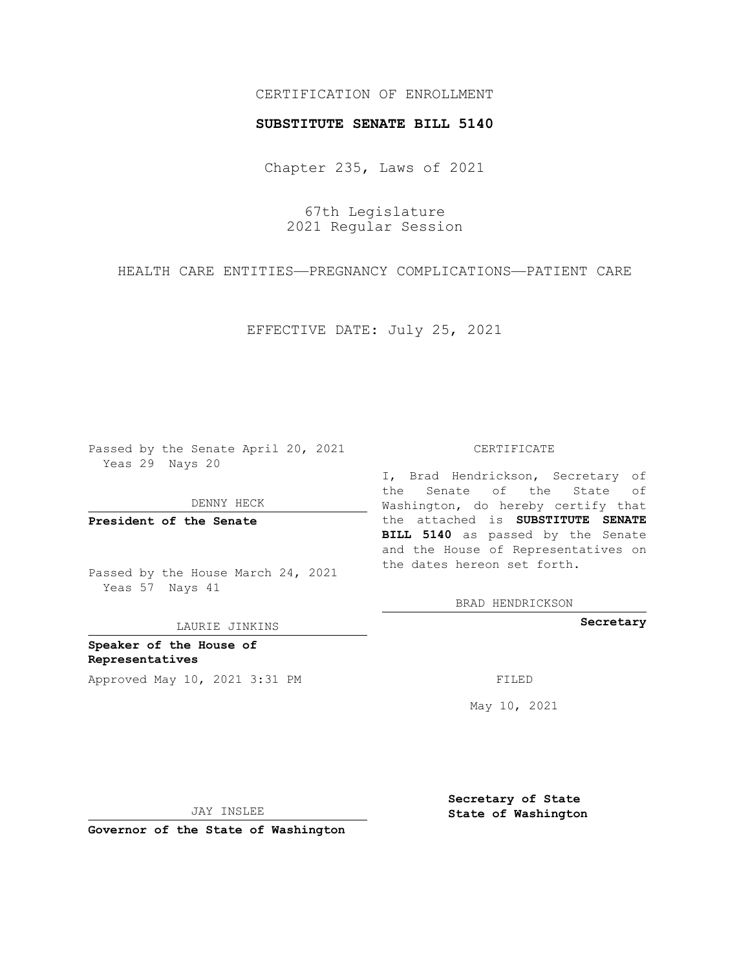## CERTIFICATION OF ENROLLMENT

### **SUBSTITUTE SENATE BILL 5140**

Chapter 235, Laws of 2021

67th Legislature 2021 Regular Session

HEALTH CARE ENTITIES—PREGNANCY COMPLICATIONS—PATIENT CARE

EFFECTIVE DATE: July 25, 2021

Passed by the Senate April 20, 2021 Yeas 29 Nays 20

DENNY HECK

**President of the Senate**

Passed by the House March 24, 2021 Yeas 57 Nays 41

LAURIE JINKINS

**Speaker of the House of Representatives** Approved May 10, 2021 3:31 PM FILED

#### CERTIFICATE

I, Brad Hendrickson, Secretary of the Senate of the State of Washington, do hereby certify that the attached is **SUBSTITUTE SENATE BILL 5140** as passed by the Senate and the House of Representatives on the dates hereon set forth.

BRAD HENDRICKSON

**Secretary**

May 10, 2021

JAY INSLEE

**Governor of the State of Washington**

**Secretary of State State of Washington**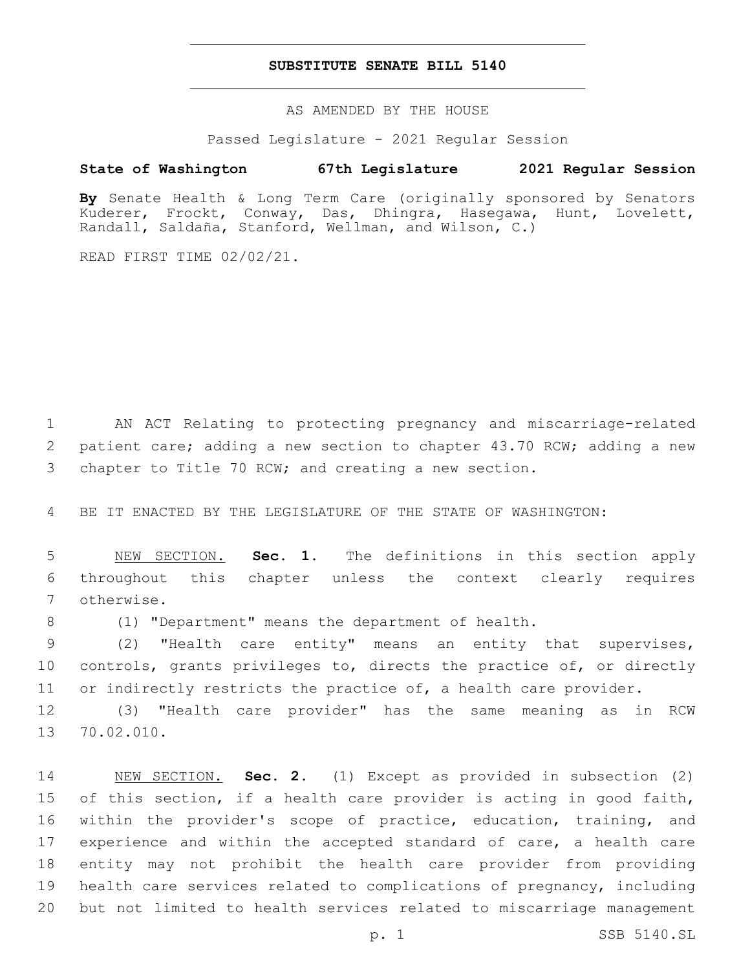## **SUBSTITUTE SENATE BILL 5140**

AS AMENDED BY THE HOUSE

Passed Legislature - 2021 Regular Session

# **State of Washington 67th Legislature 2021 Regular Session**

**By** Senate Health & Long Term Care (originally sponsored by Senators Kuderer, Frockt, Conway, Das, Dhingra, Hasegawa, Hunt, Lovelett, Randall, Saldaña, Stanford, Wellman, and Wilson, C.)

READ FIRST TIME 02/02/21.

1 AN ACT Relating to protecting pregnancy and miscarriage-related 2 patient care; adding a new section to chapter 43.70 RCW; adding a new 3 chapter to Title 70 RCW; and creating a new section.

4 BE IT ENACTED BY THE LEGISLATURE OF THE STATE OF WASHINGTON:

5 NEW SECTION. **Sec. 1.** The definitions in this section apply 6 throughout this chapter unless the context clearly requires 7 otherwise.

8 (1) "Department" means the department of health.

9 (2) "Health care entity" means an entity that supervises, 10 controls, grants privileges to, directs the practice of, or directly 11 or indirectly restricts the practice of, a health care provider.

12 (3) "Health care provider" has the same meaning as in RCW 13 70.02.010.

 NEW SECTION. **Sec. 2.** (1) Except as provided in subsection (2) of this section, if a health care provider is acting in good faith, within the provider's scope of practice, education, training, and 17 experience and within the accepted standard of care, a health care entity may not prohibit the health care provider from providing health care services related to complications of pregnancy, including but not limited to health services related to miscarriage management

p. 1 SSB 5140.SL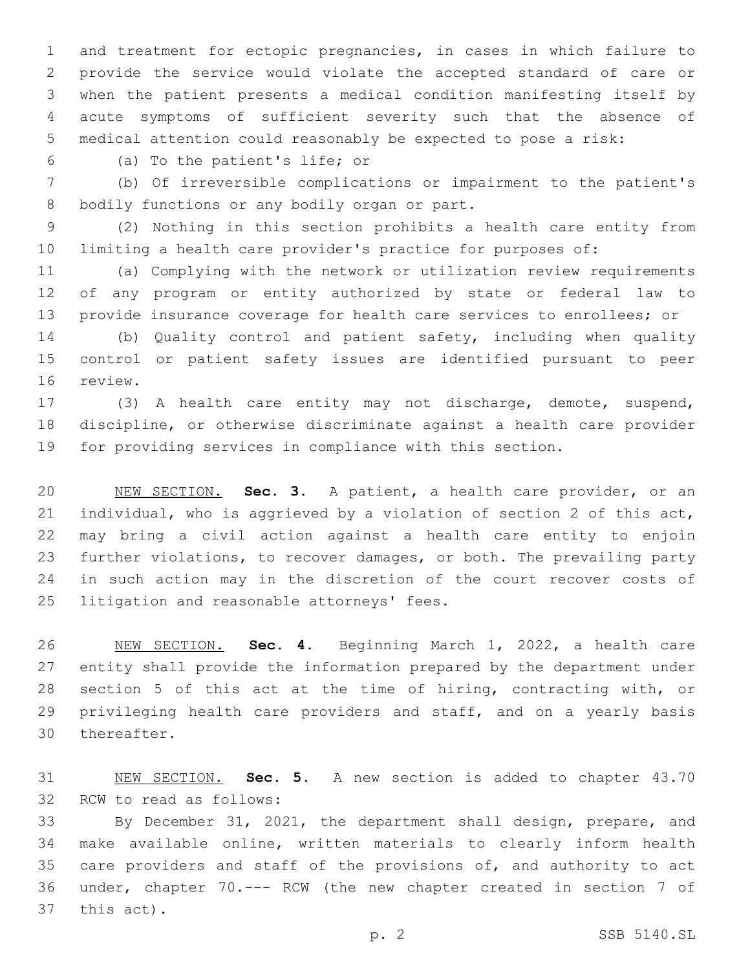and treatment for ectopic pregnancies, in cases in which failure to provide the service would violate the accepted standard of care or when the patient presents a medical condition manifesting itself by acute symptoms of sufficient severity such that the absence of medical attention could reasonably be expected to pose a risk:

(a) To the patient's life; or6

 (b) Of irreversible complications or impairment to the patient's 8 bodily functions or any bodily organ or part.

 (2) Nothing in this section prohibits a health care entity from limiting a health care provider's practice for purposes of:

 (a) Complying with the network or utilization review requirements of any program or entity authorized by state or federal law to provide insurance coverage for health care services to enrollees; or (b) Quality control and patient safety, including when quality

 control or patient safety issues are identified pursuant to peer 16 review.

 (3) A health care entity may not discharge, demote, suspend, discipline, or otherwise discriminate against a health care provider for providing services in compliance with this section.

 NEW SECTION. **Sec. 3.** A patient, a health care provider, or an individual, who is aggrieved by a violation of section 2 of this act, may bring a civil action against a health care entity to enjoin further violations, to recover damages, or both. The prevailing party in such action may in the discretion of the court recover costs of litigation and reasonable attorneys' fees.

 NEW SECTION. **Sec. 4.** Beginning March 1, 2022, a health care entity shall provide the information prepared by the department under 28 section 5 of this act at the time of hiring, contracting with, or privileging health care providers and staff, and on a yearly basis thereafter.

 NEW SECTION. **Sec. 5.** A new section is added to chapter 43.70 32 RCW to read as follows:

 By December 31, 2021, the department shall design, prepare, and make available online, written materials to clearly inform health 35 care providers and staff of the provisions of, and authority to act under, chapter 70.--- RCW (the new chapter created in section 7 of 37 this act).